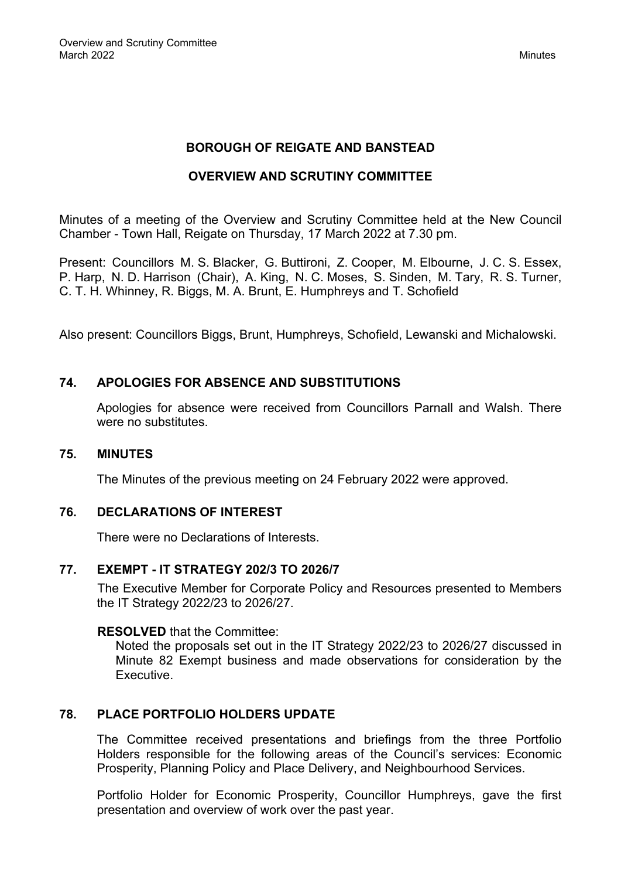## **BOROUGH OF REIGATE AND BANSTEAD**

## **OVERVIEW AND SCRUTINY COMMITTEE**

Minutes of a meeting of the Overview and Scrutiny Committee held at the New Council Chamber - Town Hall, Reigate on Thursday, 17 March 2022 at 7.30 pm.

Present: Councillors M. S. Blacker, G. Buttironi, Z. Cooper, M. Elbourne, J. C. S. Essex, P. Harp, N. D. Harrison (Chair), A. King, N. C. Moses, S. Sinden, M. Tary, R. S. Turner, C. T. H. Whinney, R. Biggs, M. A. Brunt, E. Humphreys and T. Schofield

Also present: Councillors Biggs, Brunt, Humphreys, Schofield, Lewanski and Michalowski.

## **74. APOLOGIES FOR ABSENCE AND SUBSTITUTIONS**

Apologies for absence were received from Councillors Parnall and Walsh. There were no substitutes.

#### **75. MINUTES**

The Minutes of the previous meeting on 24 February 2022 were approved.

### **76. DECLARATIONS OF INTEREST**

There were no Declarations of Interests.

#### **77. EXEMPT - IT STRATEGY 202/3 TO 2026/7**

The Executive Member for Corporate Policy and Resources presented to Members the IT Strategy 2022/23 to 2026/27.

#### **RESOLVED** that the Committee:

Noted the proposals set out in the IT Strategy 2022/23 to 2026/27 discussed in Minute 82 Exempt business and made observations for consideration by the Executive.

## **78. PLACE PORTFOLIO HOLDERS UPDATE**

The Committee received presentations and briefings from the three Portfolio Holders responsible for the following areas of the Council's services: Economic Prosperity, Planning Policy and Place Delivery, and Neighbourhood Services.

Portfolio Holder for Economic Prosperity, Councillor Humphreys, gave the first presentation and overview of work over the past year.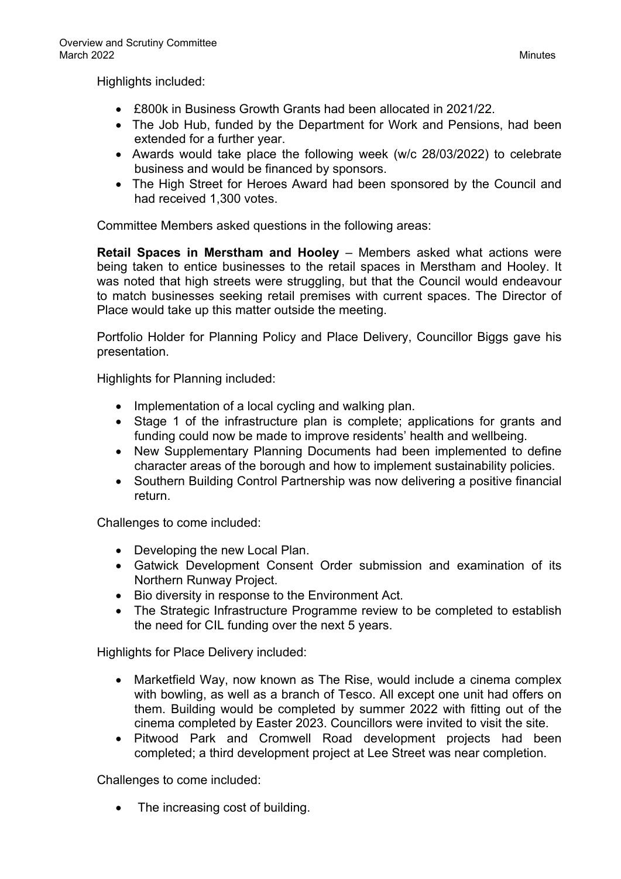Highlights included:

- £800k in Business Growth Grants had been allocated in 2021/22.
- The Job Hub, funded by the Department for Work and Pensions, had been extended for a further year.
- Awards would take place the following week (w/c 28/03/2022) to celebrate business and would be financed by sponsors.
- The High Street for Heroes Award had been sponsored by the Council and had received 1,300 votes.

Committee Members asked questions in the following areas:

**Retail Spaces in Merstham and Hooley** – Members asked what actions were being taken to entice businesses to the retail spaces in Merstham and Hooley. It was noted that high streets were struggling, but that the Council would endeavour to match businesses seeking retail premises with current spaces. The Director of Place would take up this matter outside the meeting.

Portfolio Holder for Planning Policy and Place Delivery, Councillor Biggs gave his presentation.

Highlights for Planning included:

- Implementation of a local cycling and walking plan.
- Stage 1 of the infrastructure plan is complete; applications for grants and funding could now be made to improve residents' health and wellbeing.
- New Supplementary Planning Documents had been implemented to define character areas of the borough and how to implement sustainability policies.
- Southern Building Control Partnership was now delivering a positive financial return.

Challenges to come included:

- Developing the new Local Plan.
- Gatwick Development Consent Order submission and examination of its Northern Runway Project.
- Bio diversity in response to the Environment Act.
- The Strategic Infrastructure Programme review to be completed to establish the need for CIL funding over the next 5 years.

Highlights for Place Delivery included:

- Marketfield Way, now known as The Rise, would include a cinema complex with bowling, as well as a branch of Tesco. All except one unit had offers on them. Building would be completed by summer 2022 with fitting out of the cinema completed by Easter 2023. Councillors were invited to visit the site.
- Pitwood Park and Cromwell Road development projects had been completed; a third development project at Lee Street was near completion.

Challenges to come included:

• The increasing cost of building.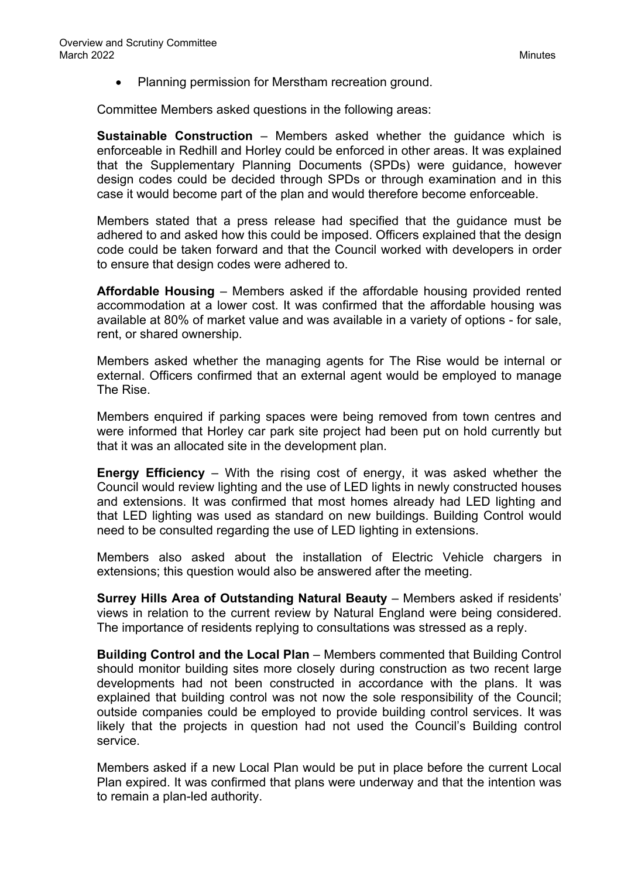Planning permission for Merstham recreation ground.

Committee Members asked questions in the following areas:

**Sustainable Construction** – Members asked whether the guidance which is enforceable in Redhill and Horley could be enforced in other areas. It was explained that the Supplementary Planning Documents (SPDs) were guidance, however design codes could be decided through SPDs or through examination and in this case it would become part of the plan and would therefore become enforceable.

Members stated that a press release had specified that the guidance must be adhered to and asked how this could be imposed. Officers explained that the design code could be taken forward and that the Council worked with developers in order to ensure that design codes were adhered to.

**Affordable Housing** – Members asked if the affordable housing provided rented accommodation at a lower cost. It was confirmed that the affordable housing was available at 80% of market value and was available in a variety of options - for sale, rent, or shared ownership.

Members asked whether the managing agents for The Rise would be internal or external. Officers confirmed that an external agent would be employed to manage The Rise.

Members enquired if parking spaces were being removed from town centres and were informed that Horley car park site project had been put on hold currently but that it was an allocated site in the development plan.

**Energy Efficiency** – With the rising cost of energy, it was asked whether the Council would review lighting and the use of LED lights in newly constructed houses and extensions. It was confirmed that most homes already had LED lighting and that LED lighting was used as standard on new buildings. Building Control would need to be consulted regarding the use of LED lighting in extensions.

Members also asked about the installation of Electric Vehicle chargers in extensions; this question would also be answered after the meeting.

**Surrey Hills Area of Outstanding Natural Beauty** – Members asked if residents' views in relation to the current review by Natural England were being considered. The importance of residents replying to consultations was stressed as a reply.

**Building Control and the Local Plan** – Members commented that Building Control should monitor building sites more closely during construction as two recent large developments had not been constructed in accordance with the plans. It was explained that building control was not now the sole responsibility of the Council; outside companies could be employed to provide building control services. It was likely that the projects in question had not used the Council's Building control service.

Members asked if a new Local Plan would be put in place before the current Local Plan expired. It was confirmed that plans were underway and that the intention was to remain a plan-led authority.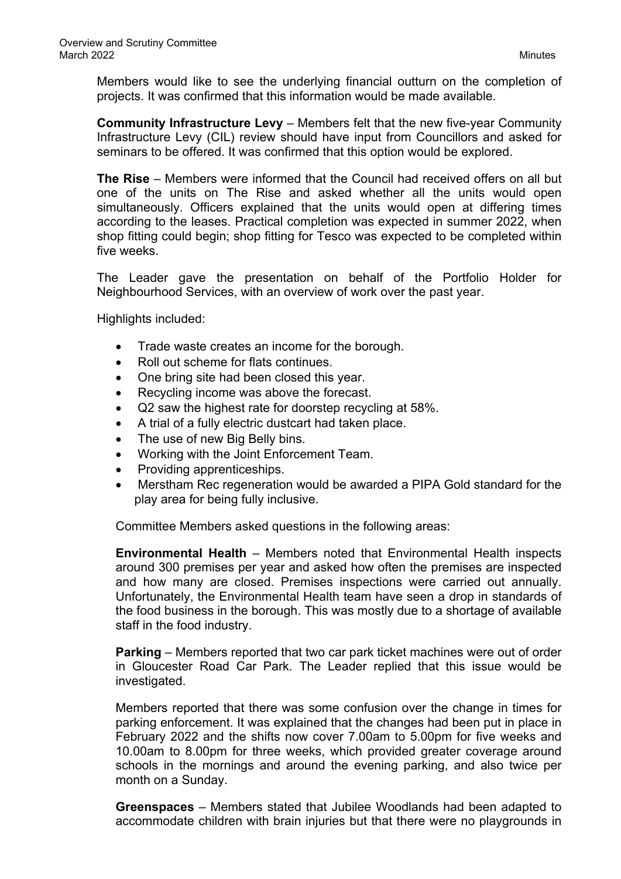Members would like to see the underlying financial outturn on the completion of projects. It was confirmed that this information would be made available.

**Community Infrastructure Levy** – Members felt that the new five-year Community Infrastructure Levy (CIL) review should have input from Councillors and asked for seminars to be offered. It was confirmed that this option would be explored.

**The Rise** – Members were informed that the Council had received offers on all but one of the units on The Rise and asked whether all the units would open simultaneously. Officers explained that the units would open at differing times according to the leases. Practical completion was expected in summer 2022, when shop fitting could begin; shop fitting for Tesco was expected to be completed within five weeks.

The Leader gave the presentation on behalf of the Portfolio Holder for Neighbourhood Services, with an overview of work over the past year.

Highlights included:

- Trade waste creates an income for the borough.
- Roll out scheme for flats continues.
- One bring site had been closed this year.
- Recycling income was above the forecast.
- Q2 saw the highest rate for doorstep recycling at 58%.
- A trial of a fully electric dustcart had taken place.
- The use of new Big Belly bins.
- Working with the Joint Enforcement Team.
- Providing apprenticeships.
- Merstham Rec regeneration would be awarded a PIPA Gold standard for the play area for being fully inclusive.

Committee Members asked questions in the following areas:

**Environmental Health** – Members noted that Environmental Health inspects around 300 premises per year and asked how often the premises are inspected and how many are closed. Premises inspections were carried out annually. Unfortunately, the Environmental Health team have seen a drop in standards of the food business in the borough. This was mostly due to a shortage of available staff in the food industry.

**Parking** – Members reported that two car park ticket machines were out of order in Gloucester Road Car Park. The Leader replied that this issue would be investigated.

Members reported that there was some confusion over the change in times for parking enforcement. It was explained that the changes had been put in place in February 2022 and the shifts now cover 7.00am to 5.00pm for five weeks and 10.00am to 8.00pm for three weeks, which provided greater coverage around schools in the mornings and around the evening parking, and also twice per month on a Sunday.

**Greenspaces** – Members stated that Jubilee Woodlands had been adapted to accommodate children with brain injuries but that there were no playgrounds in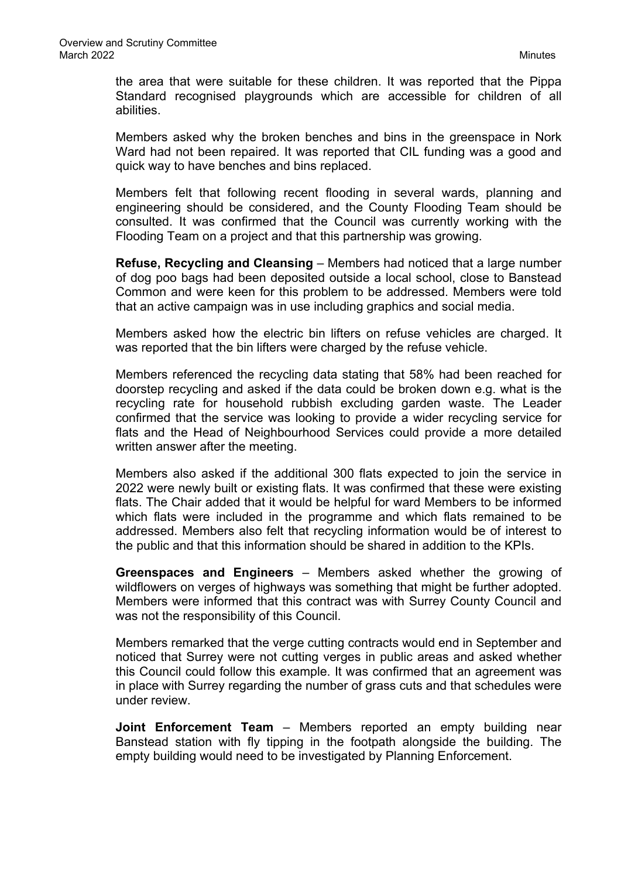the area that were suitable for these children. It was reported that the Pippa Standard recognised playgrounds which are accessible for children of all abilities.

Members asked why the broken benches and bins in the greenspace in Nork Ward had not been repaired. It was reported that CIL funding was a good and quick way to have benches and bins replaced.

Members felt that following recent flooding in several wards, planning and engineering should be considered, and the County Flooding Team should be consulted. It was confirmed that the Council was currently working with the Flooding Team on a project and that this partnership was growing.

**Refuse, Recycling and Cleansing** – Members had noticed that a large number of dog poo bags had been deposited outside a local school, close to Banstead Common and were keen for this problem to be addressed. Members were told that an active campaign was in use including graphics and social media.

Members asked how the electric bin lifters on refuse vehicles are charged. It was reported that the bin lifters were charged by the refuse vehicle.

Members referenced the recycling data stating that 58% had been reached for doorstep recycling and asked if the data could be broken down e.g. what is the recycling rate for household rubbish excluding garden waste. The Leader confirmed that the service was looking to provide a wider recycling service for flats and the Head of Neighbourhood Services could provide a more detailed written answer after the meeting.

Members also asked if the additional 300 flats expected to join the service in 2022 were newly built or existing flats. It was confirmed that these were existing flats. The Chair added that it would be helpful for ward Members to be informed which flats were included in the programme and which flats remained to be addressed. Members also felt that recycling information would be of interest to the public and that this information should be shared in addition to the KPIs.

**Greenspaces and Engineers** – Members asked whether the growing of wildflowers on verges of highways was something that might be further adopted. Members were informed that this contract was with Surrey County Council and was not the responsibility of this Council.

Members remarked that the verge cutting contracts would end in September and noticed that Surrey were not cutting verges in public areas and asked whether this Council could follow this example. It was confirmed that an agreement was in place with Surrey regarding the number of grass cuts and that schedules were under review.

**Joint Enforcement Team** – Members reported an empty building near Banstead station with fly tipping in the footpath alongside the building. The empty building would need to be investigated by Planning Enforcement.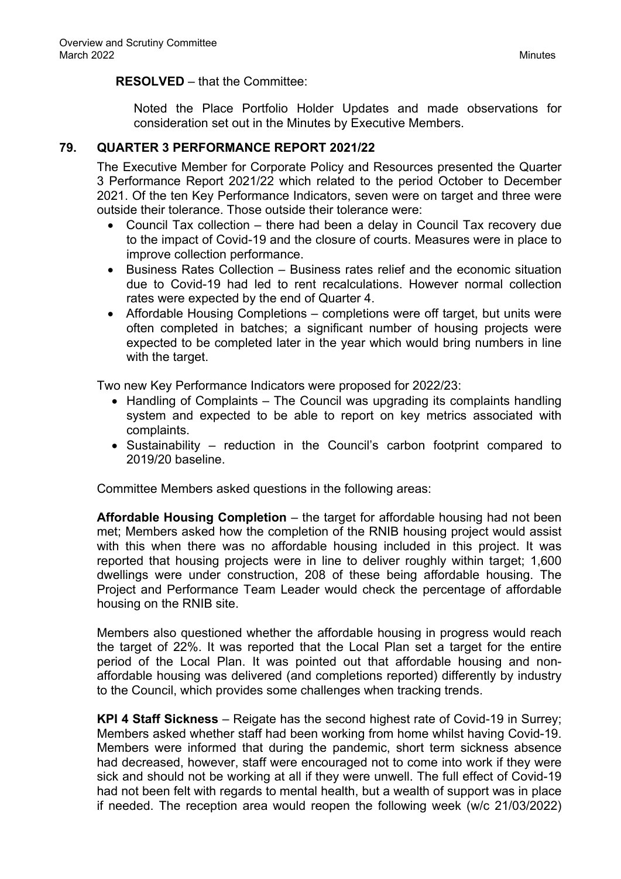### **RESOLVED** – that the Committee:

Noted the Place Portfolio Holder Updates and made observations for consideration set out in the Minutes by Executive Members.

## **79. QUARTER 3 PERFORMANCE REPORT 2021/22**

The Executive Member for Corporate Policy and Resources presented the Quarter 3 Performance Report 2021/22 which related to the period October to December 2021. Of the ten Key Performance Indicators, seven were on target and three were outside their tolerance. Those outside their tolerance were:

- Council Tax collection there had been a delay in Council Tax recovery due to the impact of Covid-19 and the closure of courts. Measures were in place to improve collection performance.
- Business Rates Collection Business rates relief and the economic situation due to Covid-19 had led to rent recalculations. However normal collection rates were expected by the end of Quarter 4.
- Affordable Housing Completions completions were off target, but units were often completed in batches; a significant number of housing projects were expected to be completed later in the year which would bring numbers in line with the target.

Two new Key Performance Indicators were proposed for 2022/23:

- Handling of Complaints The Council was upgrading its complaints handling system and expected to be able to report on key metrics associated with complaints.
- Sustainability reduction in the Council's carbon footprint compared to 2019/20 baseline.

Committee Members asked questions in the following areas:

**Affordable Housing Completion** – the target for affordable housing had not been met; Members asked how the completion of the RNIB housing project would assist with this when there was no affordable housing included in this project. It was reported that housing projects were in line to deliver roughly within target; 1,600 dwellings were under construction, 208 of these being affordable housing. The Project and Performance Team Leader would check the percentage of affordable housing on the RNIB site.

Members also questioned whether the affordable housing in progress would reach the target of 22%. It was reported that the Local Plan set a target for the entire period of the Local Plan. It was pointed out that affordable housing and nonaffordable housing was delivered (and completions reported) differently by industry to the Council, which provides some challenges when tracking trends.

**KPI 4 Staff Sickness** – Reigate has the second highest rate of Covid-19 in Surrey; Members asked whether staff had been working from home whilst having Covid-19. Members were informed that during the pandemic, short term sickness absence had decreased, however, staff were encouraged not to come into work if they were sick and should not be working at all if they were unwell. The full effect of Covid-19 had not been felt with regards to mental health, but a wealth of support was in place if needed. The reception area would reopen the following week (w/c 21/03/2022)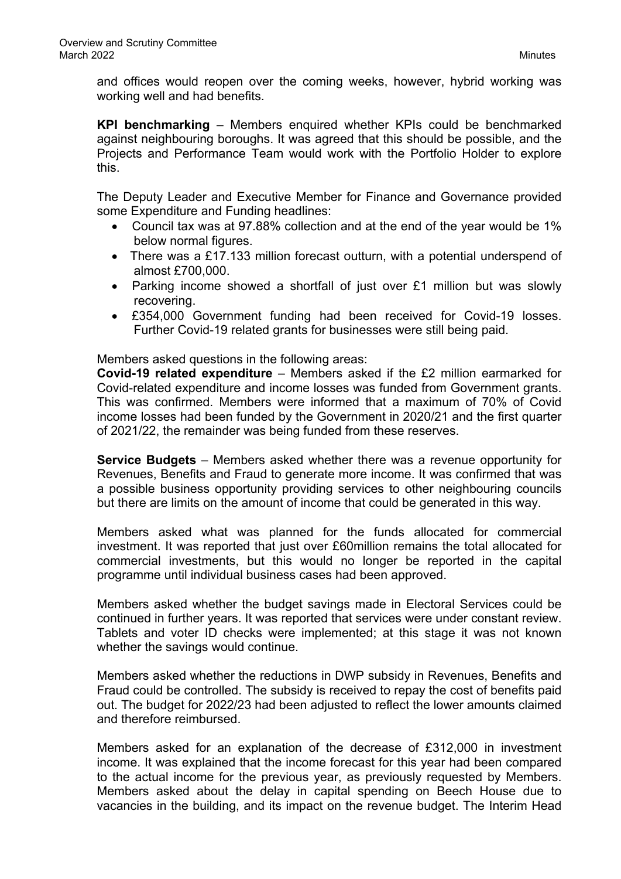and offices would reopen over the coming weeks, however, hybrid working was working well and had benefits.

**KPI benchmarking** – Members enquired whether KPIs could be benchmarked against neighbouring boroughs. It was agreed that this should be possible, and the Projects and Performance Team would work with the Portfolio Holder to explore this.

The Deputy Leader and Executive Member for Finance and Governance provided some Expenditure and Funding headlines:

- Council tax was at 97.88% collection and at the end of the year would be 1% below normal figures.
- There was a £17.133 million forecast outturn, with a potential underspend of almost £700,000.
- Parking income showed a shortfall of just over £1 million but was slowly recovering.
- £354,000 Government funding had been received for Covid-19 losses. Further Covid-19 related grants for businesses were still being paid.

Members asked questions in the following areas:

**Covid-19 related expenditure** – Members asked if the £2 million earmarked for Covid-related expenditure and income losses was funded from Government grants. This was confirmed. Members were informed that a maximum of 70% of Covid income losses had been funded by the Government in 2020/21 and the first quarter of 2021/22, the remainder was being funded from these reserves.

**Service Budgets** – Members asked whether there was a revenue opportunity for Revenues, Benefits and Fraud to generate more income. It was confirmed that was a possible business opportunity providing services to other neighbouring councils but there are limits on the amount of income that could be generated in this way.

Members asked what was planned for the funds allocated for commercial investment. It was reported that just over £60million remains the total allocated for commercial investments, but this would no longer be reported in the capital programme until individual business cases had been approved.

Members asked whether the budget savings made in Electoral Services could be continued in further years. It was reported that services were under constant review. Tablets and voter ID checks were implemented; at this stage it was not known whether the savings would continue.

Members asked whether the reductions in DWP subsidy in Revenues, Benefits and Fraud could be controlled. The subsidy is received to repay the cost of benefits paid out. The budget for 2022/23 had been adjusted to reflect the lower amounts claimed and therefore reimbursed.

Members asked for an explanation of the decrease of £312,000 in investment income. It was explained that the income forecast for this year had been compared to the actual income for the previous year, as previously requested by Members. Members asked about the delay in capital spending on Beech House due to vacancies in the building, and its impact on the revenue budget. The Interim Head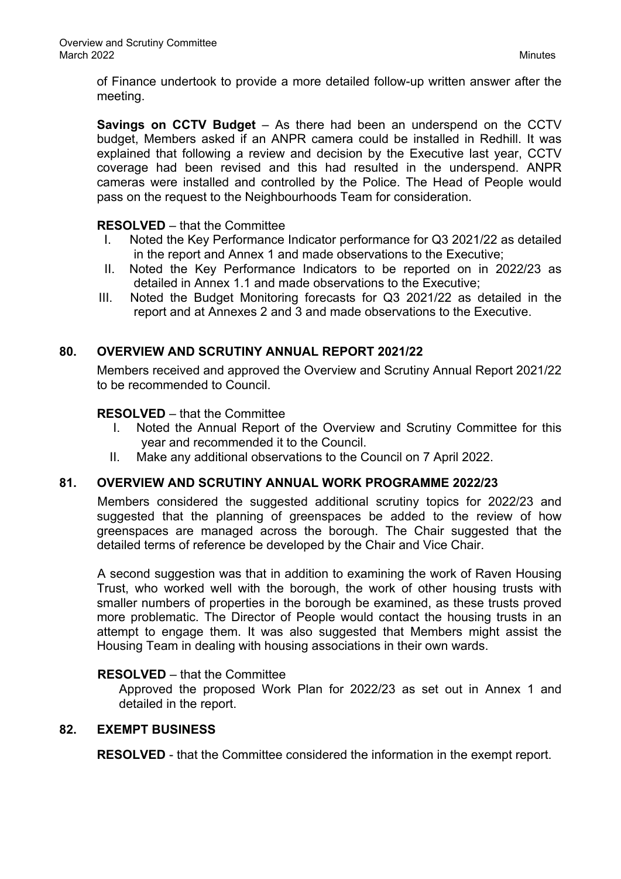of Finance undertook to provide a more detailed follow-up written answer after the meeting.

**Savings on CCTV Budget** – As there had been an underspend on the CCTV budget, Members asked if an ANPR camera could be installed in Redhill. It was explained that following a review and decision by the Executive last year, CCTV coverage had been revised and this had resulted in the underspend. ANPR cameras were installed and controlled by the Police. The Head of People would pass on the request to the Neighbourhoods Team for consideration.

## **RESOLVED** – that the Committee

- I. Noted the Key Performance Indicator performance for Q3 2021/22 as detailed in the report and Annex 1 and made observations to the Executive;
- II. Noted the Key Performance Indicators to be reported on in 2022/23 as detailed in Annex 1.1 and made observations to the Executive;
- III. Noted the Budget Monitoring forecasts for Q3 2021/22 as detailed in the report and at Annexes 2 and 3 and made observations to the Executive.

# **80. OVERVIEW AND SCRUTINY ANNUAL REPORT 2021/22**

Members received and approved the Overview and Scrutiny Annual Report 2021/22 to be recommended to Council.

### **RESOLVED** – that the Committee

- I. Noted the Annual Report of the Overview and Scrutiny Committee for this year and recommended it to the Council.
- II. Make any additional observations to the Council on 7 April 2022.

# **81. OVERVIEW AND SCRUTINY ANNUAL WORK PROGRAMME 2022/23**

Members considered the suggested additional scrutiny topics for 2022/23 and suggested that the planning of greenspaces be added to the review of how greenspaces are managed across the borough. The Chair suggested that the detailed terms of reference be developed by the Chair and Vice Chair.

A second suggestion was that in addition to examining the work of Raven Housing Trust, who worked well with the borough, the work of other housing trusts with smaller numbers of properties in the borough be examined, as these trusts proved more problematic. The Director of People would contact the housing trusts in an attempt to engage them. It was also suggested that Members might assist the Housing Team in dealing with housing associations in their own wards.

### **RESOLVED** – that the Committee

Approved the proposed Work Plan for 2022/23 as set out in Annex 1 and detailed in the report.

### **82. EXEMPT BUSINESS**

**RESOLVED** - that the Committee considered the information in the exempt report.